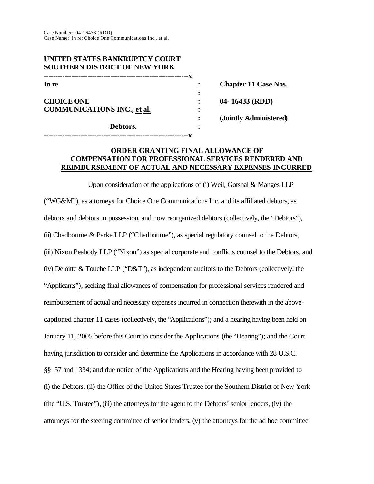Case Number: 04-16433 (RDD) Case Name: In re: Choice One Communications Inc., et al.

| UNITED STATES BANKRUPTCY COURT<br><b>SOUTHERN DISTRICT OF NEW YORK</b> |                             |
|------------------------------------------------------------------------|-----------------------------|
| In re                                                                  | <b>Chapter 11 Case Nos.</b> |
| <b>CHOICE ONE</b>                                                      | $04 - 16433$ (RDD)          |
| <b>COMMUNICATIONS INC., et al.</b>                                     | (Jointly Administered)      |
| Debtors.                                                               |                             |
|                                                                        |                             |

## **ORDER GRANTING FINAL ALLOWANCE OF COMPENSATION FOR PROFESSIONAL SERVICES RENDERED AND REIMBURSEMENT OF ACTUAL AND NECESSARY EXPENSES INCURRED**

Upon consideration of the applications of (i) Weil, Gotshal & Manges LLP ("WG&M"), as attorneys for Choice One Communications Inc. and its affiliated debtors, as debtors and debtors in possession, and now reorganized debtors (collectively, the "Debtors"), (ii) Chadbourne & Parke LLP ("Chadbourne"), as special regulatory counsel to the Debtors, (iii) Nixon Peabody LLP ("Nixon") as special corporate and conflicts counsel to the Debtors, and (iv) Deloitte & Touche LLP ("D&T"), as independent auditors to the Debtors (collectively, the "Applicants"), seeking final allowances of compensation for professional services rendered and reimbursement of actual and necessary expenses incurred in connection therewith in the abovecaptioned chapter 11 cases (collectively, the "Applications"); and a hearing having been held on January 11, 2005 before this Court to consider the Applications (the "Hearing"); and the Court having jurisdiction to consider and determine the Applications in accordance with 28 U.S.C. §§157 and 1334; and due notice of the Applications and the Hearing having been provided to (i) the Debtors, (ii) the Office of the United States Trustee for the Southern District of New York (the "U.S. Trustee"), (iii) the attorneys for the agent to the Debtors' senior lenders, (iv) the attorneys for the steering committee of senior lenders, (v) the attorneys for the ad hoc committee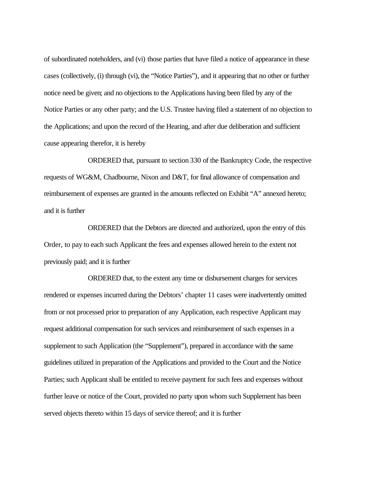of subordinated noteholders, and (vi) those parties that have filed a notice of appearance in these cases (collectively, (i) through (vi), the "Notice Parties"), and it appearing that no other or further notice need be given; and no objections to the Applications having been filed by any of the Notice Parties or any other party; and the U.S. Trustee having filed a statement of no objection to the Applications; and upon the record of the Hearing, and after due deliberation and sufficient cause appearing therefor, it is hereby

ORDERED that, pursuant to section 330 of the Bankruptcy Code, the respective requests of WG&M, Chadbourne, Nixon and D&T, for final allowance of compensation and reimbursement of expenses are granted in the amounts reflected on Exhibit "A" annexed hereto; and it is further

ORDERED that the Debtors are directed and authorized, upon the entry of this Order, to pay to each such Applicant the fees and expenses allowed herein to the extent not previously paid; and it is further

ORDERED that, to the extent any time or disbursement charges for services rendered or expenses incurred during the Debtors' chapter 11 cases were inadvertently omitted from or not processed prior to preparation of any Application, each respective Applicant may request additional compensation for such services and reimbursement of such expenses in a supplement to such Application (the "Supplement"), prepared in accordance with the same guidelines utilized in preparation of the Applications and provided to the Court and the Notice Parties; such Applicant shall be entitled to receive payment for such fees and expenses without further leave or notice of the Court, provided no party upon whom such Supplement has been served objects thereto within 15 days of service thereof; and it is further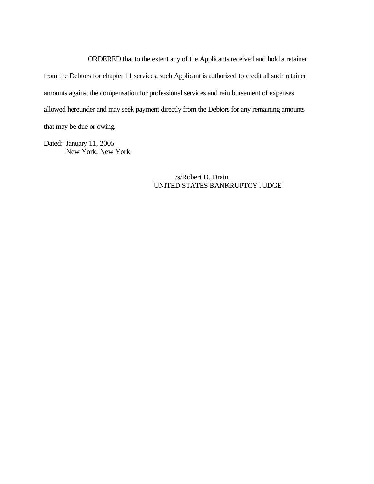ORDERED that to the extent any of the Applicants received and hold a retainer from the Debtors for chapter 11 services, such Applicant is authorized to credit all such retainer amounts against the compensation for professional services and reimbursement of expenses allowed hereunder and may seek payment directly from the Debtors for any remaining amounts that may be due or owing.

Dated: January  $11, 2005$ New York, New York

> \_\_\_\_\_\_/s/Robert D. Drain\_\_\_\_\_\_\_\_\_\_\_\_\_\_\_ UNITED STATES BANKRUPTCY JUDGE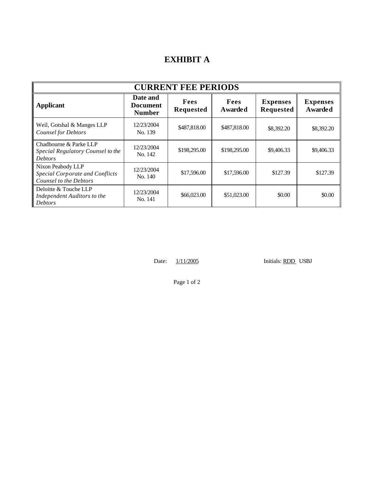## **EXHIBIT A**

| <b>CURRENT FEE PERIODS</b>                                                            |                                              |                          |                        |                                     |                                   |  |  |  |
|---------------------------------------------------------------------------------------|----------------------------------------------|--------------------------|------------------------|-------------------------------------|-----------------------------------|--|--|--|
| <b>Applicant</b>                                                                      | Date and<br><b>Document</b><br><b>Number</b> | Fees<br><b>Requested</b> | Fees<br><b>Awarded</b> | <b>Expenses</b><br><b>Requested</b> | <b>Expenses</b><br><b>Awarded</b> |  |  |  |
| Weil, Gotshal & Manges LLP<br><b>Counsel for Debtors</b>                              | 12/23/2004<br>No. 139                        | \$487,818.00             | \$487,818.00           | \$8,392.20                          | \$8,392.20                        |  |  |  |
| Chadbourne & Parke LLP<br>Special Regulatory Counsel to the<br><b>Debtors</b>         | 12/23/2004<br>No. 142                        | \$198,295.00             | \$198,295.00           | \$9,406.33                          | \$9,406.33                        |  |  |  |
| Nixon Peabody LLP<br><b>Special Corporate and Conflicts</b><br>Counsel to the Debtors | 12/23/2004<br>No. 140                        | \$17,596.00              | \$17,596.00            | \$127.39                            | \$127.39                          |  |  |  |
| Deloitte & Touche LLP<br>Independent Auditors to the<br><b>Debtors</b>                | 12/23/2004<br>No. 141                        | \$66,023.00              | \$51,023.00            | \$0.00                              | \$0.00                            |  |  |  |

Date:  $1/11/2005$  Initials: RDD USBJ

Page 1 of 2